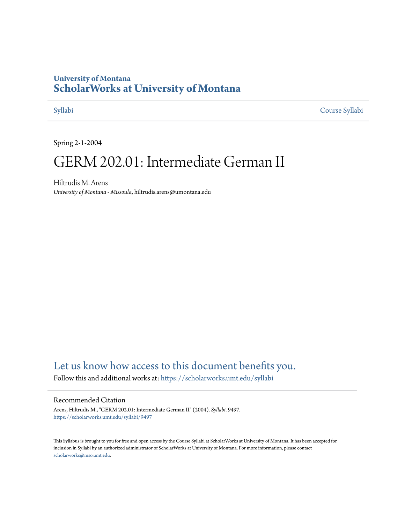# **University of Montana [ScholarWorks at University of Montana](https://scholarworks.umt.edu?utm_source=scholarworks.umt.edu%2Fsyllabi%2F9497&utm_medium=PDF&utm_campaign=PDFCoverPages)**

[Syllabi](https://scholarworks.umt.edu/syllabi?utm_source=scholarworks.umt.edu%2Fsyllabi%2F9497&utm_medium=PDF&utm_campaign=PDFCoverPages) [Course Syllabi](https://scholarworks.umt.edu/course_syllabi?utm_source=scholarworks.umt.edu%2Fsyllabi%2F9497&utm_medium=PDF&utm_campaign=PDFCoverPages)

Spring 2-1-2004

# GERM 202.01: Intermediate German II

Hiltrudis M. Arens *University of Montana - Missoula*, hiltrudis.arens@umontana.edu

# [Let us know how access to this document benefits you.](https://goo.gl/forms/s2rGfXOLzz71qgsB2)

Follow this and additional works at: [https://scholarworks.umt.edu/syllabi](https://scholarworks.umt.edu/syllabi?utm_source=scholarworks.umt.edu%2Fsyllabi%2F9497&utm_medium=PDF&utm_campaign=PDFCoverPages)

### Recommended Citation

Arens, Hiltrudis M., "GERM 202.01: Intermediate German II" (2004). *Syllabi*. 9497. [https://scholarworks.umt.edu/syllabi/9497](https://scholarworks.umt.edu/syllabi/9497?utm_source=scholarworks.umt.edu%2Fsyllabi%2F9497&utm_medium=PDF&utm_campaign=PDFCoverPages)

This Syllabus is brought to you for free and open access by the Course Syllabi at ScholarWorks at University of Montana. It has been accepted for inclusion in Syllabi by an authorized administrator of ScholarWorks at University of Montana. For more information, please contact [scholarworks@mso.umt.edu](mailto:scholarworks@mso.umt.edu).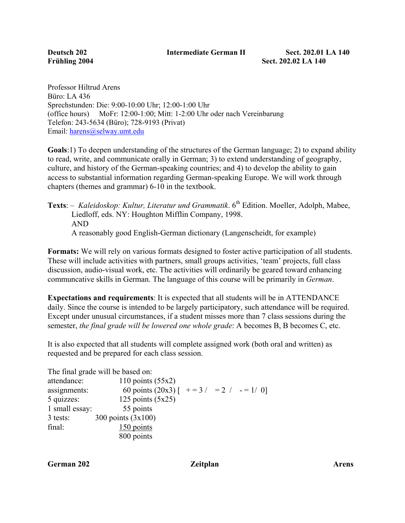Professor Hiltrud Arens Büro: LA 436 Sprechstunden: Die: 9:00-10:00 Uhr; 12:00-1:00 Uhr (office hours) MoFr: 12:00-1:00; Mitt: 1-2:00 Uhr oder nach Vereinbarung Telefon: 243-5634 (Büro); 728-9193 (Privat) Email: harens@selway.umt.edu

**Goals**:1) To deepen understanding of the structures of the German language; 2) to expand ability to read, write, and communicate orally in German; 3) to extend understanding of geography, culture, and history of the German-speaking countries; and 4) to develop the ability to gain access to substantial information regarding German-speaking Europe. We will work through chapters (themes and grammar) 6-10 in the textbook.

Texts: *– Kaleidoskop: Kultur, Literatur und Grammatik.* 6<sup>th</sup> Edition. Moeller, Adolph, Mabee, Liedloff, eds. NY: Houghton Mifflin Company, 1998. AND A reasonably good English-German dictionary (Langenscheidt, for example)

**Formats:** We will rely on various formats designed to foster active participation of all students. These will include activities with partners, small groups activities, 'team' projects, full class discussion, audio-visual work, etc. The activities will ordinarily be geared toward enhancing communcative skills in German. The language of this course will be primarily in *German*.

**Expectations and requirements**: It is expected that all students will be in ATTENDANCE daily. Since the course is intended to be largely participatory, such attendance will be required. Except under unusual circumstances, if a student misses more than 7 class sessions during the semester, *the final grade will be lowered one whole grade*: A becomes B, B becomes C, etc.

It is also expected that all students will complete assigned work (both oral and written) as requested and be prepared for each class session.

|                | The final grade will be based on:          |  |  |
|----------------|--------------------------------------------|--|--|
| attendance:    | 110 points $(55x2)$                        |  |  |
| assignments:   | 60 points (20x3) $[-1, 3]$ = 2 / - = 1/ 0] |  |  |
| $5$ quizzes:   | 125 points $(5x25)$                        |  |  |
| 1 small essay: | 55 points                                  |  |  |
| 3 tests:       | 300 points $(3x100)$                       |  |  |
| final:         | 150 points                                 |  |  |
|                | 800 points                                 |  |  |

**German 202 Zeitplan Arens**